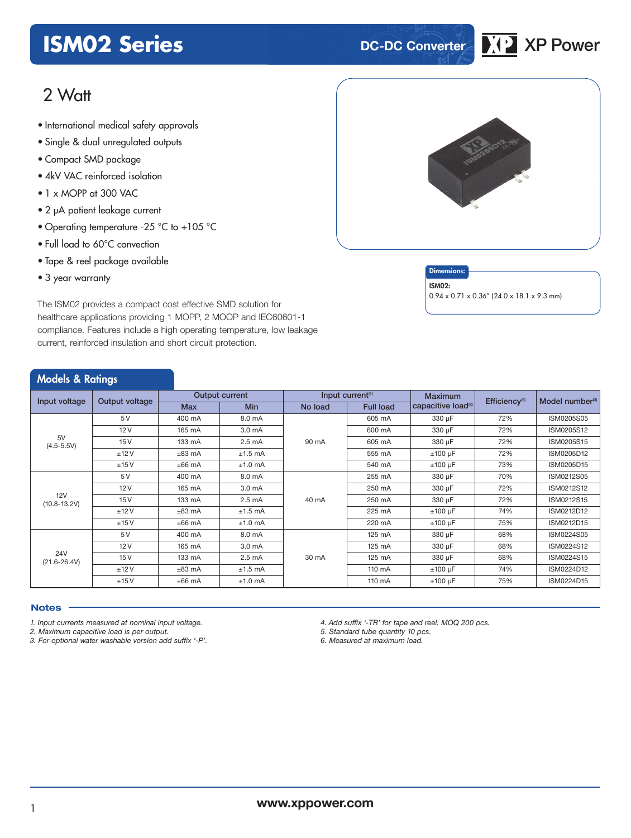## **ISM02 Series DC-DC Converter XP** XP Power



### 2 Watt

- International medical safety approvals
- Single & dual unregulated outputs
- Compact SMD package
- 4kV VAC reinforced isolation
- 1 x MOPP at 300 VAC
- 2 μA patient leakage current
- Operating temperature -25 °C to +105 °C
- Full load to 60°C convection
- Tape & reel package available
- 3 year warranty

#### **Dimensions**

ISM02:

0.94 x 0.71 x 0.36" (24.0 x 18.1 x 9.3 mm)

The ISM02 provides a compact cost effective SMD solution for healthcare applications providing 1 MOPP, 2 MOOP and IEC60601-1 compliance. Features include a high operating temperature, low leakage current, reinforced insulation and short circuit protection.

|  | <b>Models &amp; Ratings</b> |
|--|-----------------------------|
|  |                             |

|                                 |      |                |                    |                              |        | Maximum                        |                             |            |
|---------------------------------|------|----------------|--------------------|------------------------------|--------|--------------------------------|-----------------------------|------------|
| Input voltage<br>Output voltage |      | Output current |                    | Input current <sup>(1)</sup> |        | Efficiency <sup>(6)</sup>      | Model number <sup>(3)</sup> |            |
|                                 |      | <b>Max</b>     | <b>Min</b>         | <b>Full load</b><br>No load  |        | capacitive load <sup>(2)</sup> |                             |            |
|                                 | 5 V  | 400 mA         | 8.0 mA             |                              | 605 mA | 330 µF                         | 72%                         | ISM0205S05 |
|                                 | 12V  | 165 mA         | 3.0 <sub>m</sub> A |                              | 600 mA | 330 µF                         | 72%                         | ISM0205S12 |
| 5V<br>$(4.5 - 5.5V)$            | 15V  | 133 mA         | $2.5 \text{ mA}$   | 90 mA                        | 605 mA | 330 µF                         | 72%                         | ISM0205S15 |
|                                 | ±12V | $±83$ mA       | $±1.5$ mA          |                              | 555 mA | $±100 \mu F$                   | 72%                         | ISM0205D12 |
|                                 | ±15V | $±66$ mA       | $±1.0$ mA          |                              | 540 mA | $±100 \mu F$                   | 73%                         | ISM0205D15 |
|                                 | 5V   | 400 mA         | 8.0 mA             | 40 mA                        | 255 mA | 330 µF                         | 70%                         | ISM0212S05 |
|                                 | 12V  | 165 mA         | 3.0 <sub>m</sub> A |                              | 250 mA | 330 µF                         | 72%                         | ISM0212S12 |
| 12V<br>$(10.8 - 13.2V)$         | 15V  | 133 mA         | $2.5 \text{ mA}$   |                              | 250 mA | 330 µF                         | 72%                         | ISM0212S15 |
|                                 | ±12V | $±83$ mA       | $±1.5$ mA          |                              | 225 mA | $±100 \mu F$                   | 74%                         | ISM0212D12 |
|                                 | ±15V | $±66$ mA       | $±1.0$ mA          |                              | 220 mA | $±100 \mu F$                   | 75%                         | ISM0212D15 |
|                                 | 5V   | 400 mA         | 8.0 mA             |                              | 125 mA | 330 µF                         | 68%                         | ISM0224S05 |
|                                 | 12V  | 165 mA         | 3.0 mA             |                              | 125 mA | 330 µF                         | 68%                         | ISM0224S12 |
| <b>24V</b><br>$(21.6 - 26.4V)$  | 15V  | 133 mA         | $2.5 \text{ mA}$   | 30 mA                        | 125 mA | 330 µF                         | 68%                         | ISM0224S15 |
|                                 | ±12V | $±83$ mA       | $±1.5$ mA          |                              | 110 mA | $±100 \mu F$                   | 74%                         | ISM0224D12 |
|                                 | ±15V | $±66$ mA       | $±1.0$ mA          |                              | 110 mA | $±100 \mu F$                   | 75%                         | ISM0224D15 |

#### **Notes**

*1. Input currents measured at nominal input voltage.*

*2. Maximum capacitive load is per output.*

*3. For optional water washable version add suffix '-P'.*

*4. Add suffix '-TR' for tape and reel. MOQ 200 pcs.*

*5. Standard tube quantity 10 pcs.*

*6. Measured at maximum load.*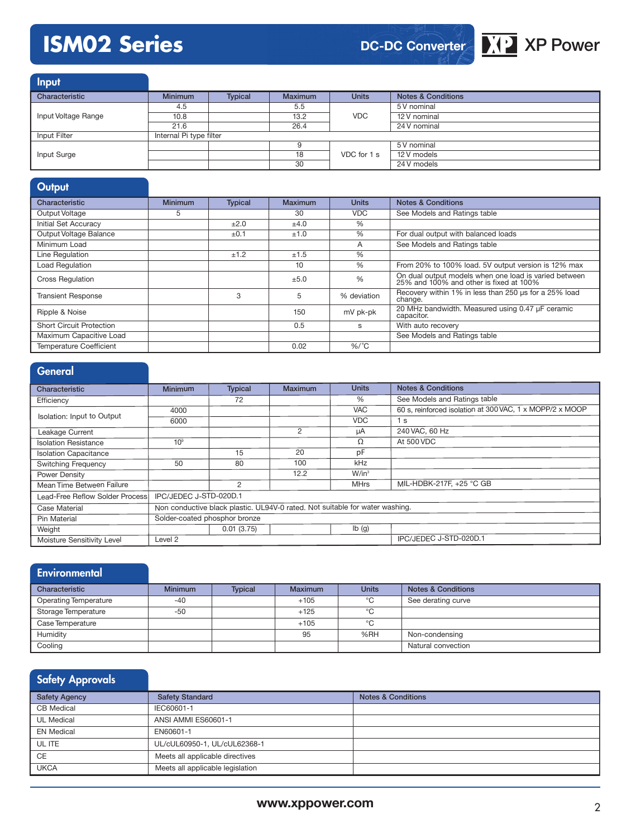# **ISM02 Series XP XP Power**

**DC-DC Converter**



| <b>Input</b>        |                         |                |                |              |                               |
|---------------------|-------------------------|----------------|----------------|--------------|-------------------------------|
| Characteristic      | <b>Minimum</b>          | <b>Typical</b> | <b>Maximum</b> | <b>Units</b> | <b>Notes &amp; Conditions</b> |
|                     | 4.5                     |                | 5.5            |              | 5 V nominal                   |
| Input Voltage Range | 10.8                    |                | 13.2           | VDC          | 12 V nominal                  |
|                     | 21.6                    |                | 26.4           |              | 24 V nominal                  |
| Input Filter        | Internal Pi type filter |                |                |              |                               |
| Input Surge         |                         |                |                |              | 5 V nominal                   |
|                     |                         |                | 18             | VDC for 1 s  | 12 V models                   |
|                     |                         |                | 30             |              | 24 V models                   |

| Output                          |                |                |         |               |                                                                                                  |
|---------------------------------|----------------|----------------|---------|---------------|--------------------------------------------------------------------------------------------------|
| Characteristic                  | <b>Minimum</b> | <b>Typical</b> | Maximum | <b>Units</b>  | <b>Notes &amp; Conditions</b>                                                                    |
| Output Voltage                  | 5              |                | 30      | <b>VDC</b>    | See Models and Ratings table                                                                     |
| Initial Set Accuracy            |                | ±2.0           | ±4.0    | $\%$          |                                                                                                  |
| Output Voltage Balance          |                | ±0.1           | ±1.0    | $\%$          | For dual output with balanced loads                                                              |
| Minimum Load                    |                |                |         | A             | See Models and Ratings table                                                                     |
| Line Regulation                 |                | ±1.2           | ±1.5    | $\%$          |                                                                                                  |
| <b>Load Regulation</b>          |                |                | 10      | $\%$          | From 20% to 100% load. 5V output version is 12% max                                              |
| <b>Cross Regulation</b>         |                |                | ±5.0    | $\frac{0}{6}$ | On dual output models when one load is varied between<br>25% and 100% and other is fixed at 100% |
| <b>Transient Response</b>       |                | 3              | 5       | % deviation   | Recovery within 1% in less than 250 us for a 25% load<br>change.                                 |
| Ripple & Noise                  |                |                | 150     | mV pk-pk      | 20 MHz bandwidth. Measured using 0.47 µF ceramic<br>capacitor.                                   |
| <b>Short Circuit Protection</b> |                |                | 0.5     | S             | With auto recovery                                                                               |
| Maximum Capacitive Load         |                |                |         |               | See Models and Ratings table                                                                     |
| Temperature Coefficient         |                |                | 0.02    | $%$ /°C       |                                                                                                  |

| <b>General</b>                   |                                                                              |                |         |                           |                                                          |
|----------------------------------|------------------------------------------------------------------------------|----------------|---------|---------------------------|----------------------------------------------------------|
| Characteristic                   | <b>Minimum</b>                                                               | <b>Typical</b> | Maximum | <b>Units</b>              | <b>Notes &amp; Conditions</b>                            |
| Efficiency                       |                                                                              | 72             |         | %                         | See Models and Ratings table                             |
|                                  | 4000                                                                         |                |         | <b>VAC</b>                | 60 s. reinforced isolation at 300 VAC, 1 x MOPP/2 x MOOP |
| Isolation: Input to Output       | 6000                                                                         |                |         | <b>VDC</b>                | 1 <sub>s</sub>                                           |
| Leakage Current                  |                                                                              |                | 2       | μA                        | 240 VAC, 60 Hz                                           |
| <b>Isolation Resistance</b>      | 10 <sup>9</sup>                                                              |                |         | Ω                         | At 500 VDC                                               |
| <b>Isolation Capacitance</b>     |                                                                              | 15             | 20      | pF                        |                                                          |
| <b>Switching Frequency</b>       | 50                                                                           | 80             | 100     | kHz                       |                                                          |
| Power Density                    |                                                                              |                | 12.2    | $W/in^3$                  |                                                          |
| Mean Time Between Failure        |                                                                              | 2              |         | <b>MHrs</b>               | MIL-HDBK-217F, +25 °C GB                                 |
| Lead-Free Reflow Solder Processl | IPC/JEDEC J-STD-020D.1                                                       |                |         |                           |                                                          |
| Case Material                    | Non conductive black plastic. UL94V-0 rated. Not suitable for water washing. |                |         |                           |                                                          |
| <b>Pin Material</b>              | Solder-coated phosphor bronze                                                |                |         |                           |                                                          |
| Weight                           |                                                                              | 0.01(3.75)     |         | $\mathsf{lb}(\mathsf{g})$ |                                                          |
| Moisture Sensitivity Level       | IPC/JEDEC J-STD-020D.1<br>Level <sub>2</sub>                                 |                |         |                           |                                                          |

| Environmental                |                |                |                |              |                               |
|------------------------------|----------------|----------------|----------------|--------------|-------------------------------|
| Characteristic               | <b>Minimum</b> | <b>Typical</b> | <b>Maximum</b> | <b>Units</b> | <b>Notes &amp; Conditions</b> |
| <b>Operating Temperature</b> | $-40$          |                | $+105$         | °€           | See derating curve            |
| Storage Temperature          | $-50$          |                | $+125$         | °C           |                               |
| Case Temperature             |                |                | $+105$         | °C           |                               |
| Humidity                     |                |                | 95             | %RH          | Non-condensing                |
| Cooling                      |                |                |                |              | Natural convection            |

| Safety Approvals     |                                  |                               |
|----------------------|----------------------------------|-------------------------------|
| <b>Safety Agency</b> | <b>Safety Standard</b>           | <b>Notes &amp; Conditions</b> |
| <b>CB</b> Medical    | IEC60601-1                       |                               |
| <b>UL Medical</b>    | ANSI AMMI ES60601-1              |                               |
| <b>EN Medical</b>    | EN60601-1                        |                               |
| UL ITE               | UL/cUL60950-1, UL/cUL62368-1     |                               |
| <b>CE</b>            | Meets all applicable directives  |                               |
| <b>UKCA</b>          | Meets all applicable legislation |                               |